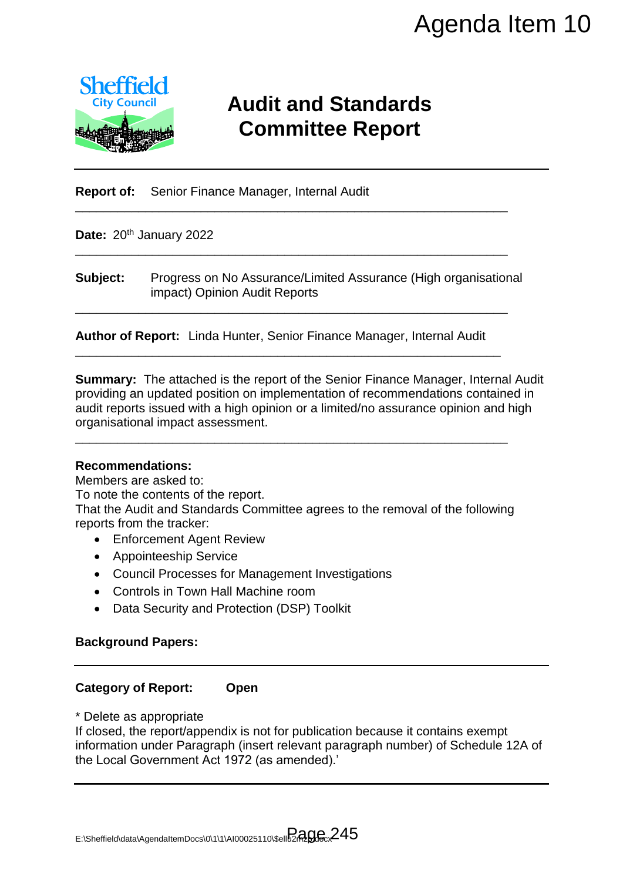

# **Audit and Standards Committee Report**

**Report of:** Senior Finance Manager, Internal Audit

Date: 20<sup>th</sup> January 2022

**Subject:** Progress on No Assurance/Limited Assurance (High organisational impact) Opinion Audit Reports

\_\_\_\_\_\_\_\_\_\_\_\_\_\_\_\_\_\_\_\_\_\_\_\_\_\_\_\_\_\_\_\_\_\_\_\_\_\_\_\_\_\_\_\_\_\_\_\_\_\_\_\_\_\_\_\_\_\_\_\_\_\_

\_\_\_\_\_\_\_\_\_\_\_\_\_\_\_\_\_\_\_\_\_\_\_\_\_\_\_\_\_\_\_\_\_\_\_\_\_\_\_\_\_\_\_\_\_\_\_\_\_\_\_\_\_\_\_\_\_\_\_\_\_\_

\_\_\_\_\_\_\_\_\_\_\_\_\_\_\_\_\_\_\_\_\_\_\_\_\_\_\_\_\_\_\_\_\_\_\_\_\_\_\_\_\_\_\_\_\_\_\_\_\_\_\_\_\_\_\_\_\_\_\_\_\_\_

**Author of Report:** Linda Hunter, Senior Finance Manager, Internal Audit \_\_\_\_\_\_\_\_\_\_\_\_\_\_\_\_\_\_\_\_\_\_\_\_\_\_\_\_\_\_\_\_\_\_\_\_\_\_\_\_\_\_\_\_\_\_\_\_\_\_\_\_\_\_\_\_\_\_\_\_\_

**Summary:** The attached is the report of the Senior Finance Manager, Internal Audit providing an updated position on implementation of recommendations contained in audit reports issued with a high opinion or a limited/no assurance opinion and high organisational impact assessment. Agenda Item 10<br>
and Standards<br>
mittee Report<br>
Financial Assurance (High organisational<br>
next<br>
not Finance Manager, Internal Audit<br>
of the Senior Finance Manager, Internal Audit<br>
of the Senior Finance Manager, Internal Audi

#### **Recommendations:**

Members are asked to:

To note the contents of the report.

That the Audit and Standards Committee agrees to the removal of the following reports from the tracker:

\_\_\_\_\_\_\_\_\_\_\_\_\_\_\_\_\_\_\_\_\_\_\_\_\_\_\_\_\_\_\_\_\_\_\_\_\_\_\_\_\_\_\_\_\_\_\_\_\_\_\_\_\_\_\_\_\_\_\_\_\_\_

- Enforcement Agent Review
- Appointeeship Service
- Council Processes for Management Investigations
- Controls in Town Hall Machine room
- Data Security and Protection (DSP) Toolkit

### **Background Papers:**

### **Category of Report: Open**

\* Delete as appropriate

If closed, the report/appendix is not for publication because it contains exempt information under Paragraph (insert relevant paragraph number) of Schedule 12A of the Local Government Act 1972 (as amended).'